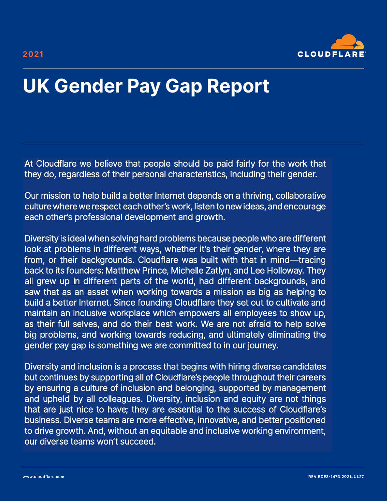

# **UK Gender Pay Gap Report**

At Cloudflare we believe that people should be paid fairly for the work that they do, regardless of their personal characteristics, including their gender.

Our mission to help build a better Internet depends on a thriving, collaborative culture where we respect each other's work, listen to new ideas, and each other's professional development and growth.

Diversity is ideal when solving hard problems because people who are different look at problems in different ways, whether it's their gender, where they are from, or their backgrounds. Cloudflare was built with that in mind—tracing back to its founders: Matthew Prince, Michelle Zatlyn, and Lee Holloway. all grew up in different parts of the world, had different backgrounds, and saw that as an asset when working towards a mission as big as helping to build a better Internet. Since founding Cloudflare they set out to cultivate and maintain an inclusive workplace which empowers all employees to show up, as their full selves, and do their best work. We are not afraid to help solve big problems, and working towards reducing, and ultimately eliminating gender pay gap is something we are committed to in our journey.

Diversity and inclusion is a process that begins with hiring diverse process that begins with ning diverse candidates by supporting all of Cloudflare's people of Cloudflare's people of Cloudflates people of Cloudflates people of Cloudflates people of Cloudflates people of Cloudflates people but continues by supporting all of Cloudflare's people throughout their careers by ensuring a culture of inclusion and belonging, supported by management and upheld by all colleagues. Diversity, inclusion and equity are not things that are just nice to have; they are essential to the success of Cloudflare's business. Diverse teams are more effective, innovative, and better positioned to drive growth. And, without an equitable and inclusive working environment, our diverse teams won't succeed.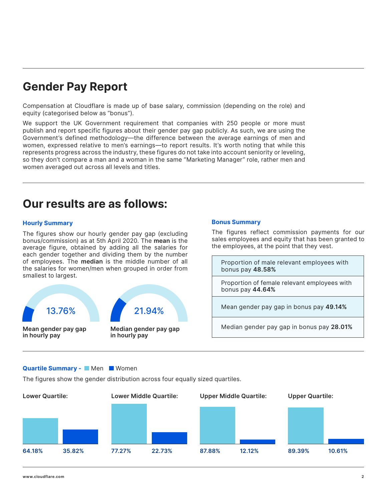### **Gender Pay Report**

Compensation at Cloudflare is made up of base salary, commission (depending on the role) and equity (categorised below as "bonus").

We support the UK Government requirement that companies with 250 people or more must publish and report specific figures about their gender pay gap publicly. As such, we are using the Government's defined methodology—the difference between the average earnings of men and women, expressed relative to men's earnings—to report results. It's worth noting that while this represents progress across the industry, these figures do not take into account seniority or leveling, so they don't compare a man and a woman in the same "Marketing Manager" role, rather men and women averaged out across all levels and titles.

### **Our results are as follows:**

### **Hourly Summary**

The figures show our hourly gender pay gap (excluding bonus/commission) as at 5th April 2020. The **mean** is the average figure, obtained by adding all the salaries for each gender together and dividing them by the number of employees. The **median** is the middle number of all the salaries for women/men when grouped in order from smallest to largest.



#### **Quartile Summary - Men Women**

The figures show the gender distribution across four equally sized quartiles.



Proportion of male relevant employees with

the employees, at the point that they vest.

The figures reflect commission payments for our sales employees and equity that has been granted to

Proportion of female relevant employees with

Mean gender pay gap in bonus pay **49.14%**

Median gender pay gap in bonus pay **28.01%**

bonus pay **48.58%**

**Bonus Summary**

bonus pay **44.64%**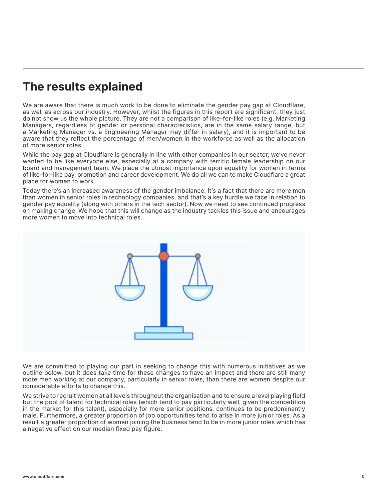## **The results explained**

We are aware that there is much work to be done to eliminate the gender pay gap at Cloudflare, as well as across our industry. However, whilst the figures in this report are significant, they just do not show us the whole picture. They are not a comparison of like-for-like roles (e.g. Marketing Managers, regardless of gender or personal characteristics, are in the same salary range, but a Marketing Manager vs. a Engineering Manager may differ in salary), and it is important to be aware that they reflect the percentage of men/women in the workforce as well as the allocation of more senior roles.

While the pay gap at Cloudflare is generally in line with other companies in our sector, we've never wanted to be like everyone else, especially at a company with terrific female leadership on our board and management team. We place the utmost importance upon equality for women in terms of like-for-like pay, promotion and career development. We do all we can to make Cloudflare a great place for women to work.

Today there's an increased awareness of the gender imbalance. It's a fact that there are more men than women in senior roles in technology companies, and that's a key hurdle we face in relation to gender pay equality (along with others in the tech sector). Now we need to see continued progress on making change. We hope that this will change as the industry tackles this issue and encourages more women to move into technical roles.



We are committed to playing our part in seeking to change this with numerous initiatives as we outline below, but it does take time for these changes to have an impact and there are still many more men working at our company, particularly in senior roles, than there are women despite our considerable efforts to change this.

We strive to recruit women at all levels throughout the organisation and to ensure a level playing field but the pool of talent for technical roles (which tend to pay particularly well, given the competition in the market for this talent), especially for more senior positions, continues to be predominantly male. Furthermore, a greater proportion of job opportunities tend to arise in more junior roles. As a result a greater proportion of women joining the business tend to be in more junior roles which has a negative effect on our median fixed pay figure.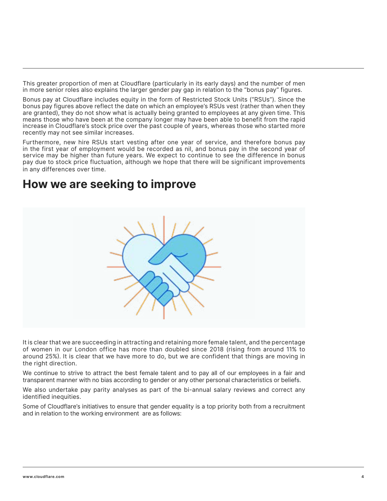This greater proportion of men at Cloudflare (particularly in its early days) and the number of men in more senior roles also explains the larger gender pay gap in relation to the "bonus pay" figures.

Bonus pay at Cloudflare includes equity in the form of Restricted Stock Units ("RSUs"). Since the bonus pay figures above reflect the date on which an employee's RSUs vest (rather than when they are granted), they do not show what is actually being granted to employees at any given time. This means those who have been at the company longer may have been able to benefit from the rapid increase in Cloudflare's stock price over the past couple of years, whereas those who started more recently may not see similar increases.

Furthermore, new hire RSUs start vesting after one year of service, and therefore bonus pay in the first year of employment would be recorded as nil, and bonus pay in the second year of service may be higher than future years. We expect to continue to see the difference in bonus pay due to stock price fluctuation, although we hope that there will be significant improvements in any differences over time.

### **How we are seeking to improve**



It is clear that we are succeeding in attracting and retaining more female talent, and the percentage of women in our London office has more than doubled since 2018 (rising from around 11% to around 25%). It is clear that we have more to do, but we are confident that things are moving in the right direction.

We continue to strive to attract the best female talent and to pay all of our employees in a fair and transparent manner with no bias according to gender or any other personal characteristics or beliefs.

We also undertake pay parity analyses as part of the bi-annual salary reviews and correct any identified inequities.

Some of Cloudflare's initiatives to ensure that gender equality is a top priority both from a recruitment and in relation to the working environment are as follows: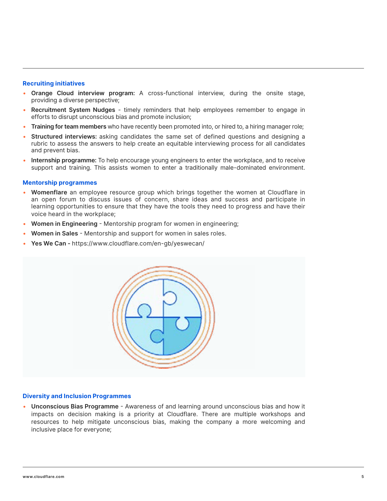#### **Recruiting initiatives**

- **Orange Cloud interview program:** A cross-functional interview, during the onsite stage, providing a diverse perspective;
- **Recruitment System Nudges** timely reminders that help employees remember to engage in efforts to disrupt unconscious bias and promote inclusion;
- **Training for team members** who have recently been promoted into, or hired to, a hiring manager role;
- **Structured interviews:** asking candidates the same set of defined questions and designing a rubric to assess the answers to help create an equitable interviewing process for all candidates and prevent bias.
- **Internship programme:** To help encourage young engineers to enter the workplace, and to receive support and training. This assists women to enter a traditionally male-dominated environment.

#### **Mentorship programmes**

- **Womenflare** an employee resource group which brings together the women at Cloudflare in an open forum to discuss issues of concern, share ideas and success and participate in learning opportunities to ensure that they have the tools they need to progress and have their voice heard in the workplace;
- **Women in Engineering** Mentorship program for women in engineering;
- **Women in Sales** Mentorship and support for women in sales roles.
- **Yes We Can** https://www.cloudflare.com/en-gb/yeswecan/



#### **Diversity and Inclusion Programmes**

• **Unconscious Bias Programme** - Awareness of and learning around unconscious bias and how it impacts on decision making is a priority at Cloudflare. There are multiple workshops and resources to help mitigate unconscious bias, making the company a more welcoming and inclusive place for everyone;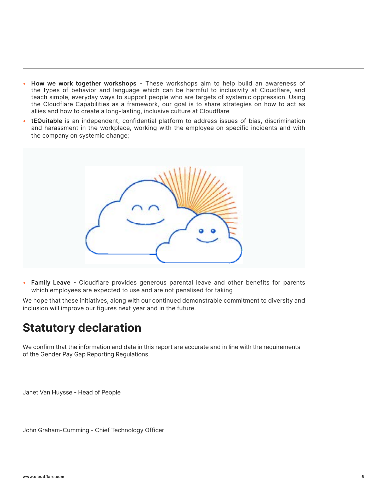- **How we work together workshops** These workshops aim to help build an awareness of the types of behavior and language which can be harmful to inclusivity at Cloudflare, and teach simple, everyday ways to support people who are targets of systemic oppression. Using the Cloudflare Capabilities as a framework, our goal is to share strategies on how to act as allies and how to create a long-lasting, inclusive culture at Cloudflare
- **tEQuitable** is an independent, confidential platform to address issues of bias, discrimination and harassment in the workplace, working with the employee on specific incidents and with the company on systemic change;



• **Family Leave** - Cloudflare provides generous parental leave and other benefits for parents which employees are expected to use and are not penalised for taking

We hope that these initiatives, along with our continued demonstrable commitment to diversity and inclusion will improve our figures next year and in the future.

### **Statutory declaration**

We confirm that the information and data in this report are accurate and in line with the requirements of the Gender Pay Gap Reporting Regulations.

Janet Van Huysse - Head of People

John Graham-Cumming - Chief Technology Officer